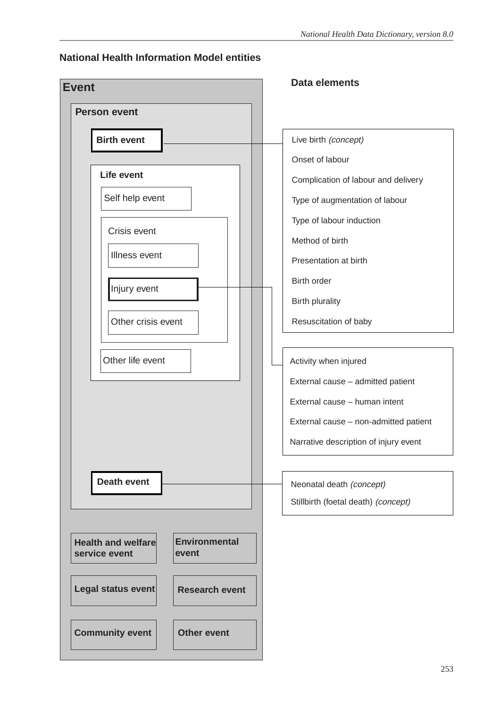### **National Health Information Model entities**

| <b>Event</b>                                                                | Data elements                         |
|-----------------------------------------------------------------------------|---------------------------------------|
| <b>Person event</b>                                                         |                                       |
| <b>Birth event</b>                                                          | Live birth (concept)                  |
|                                                                             | Onset of labour                       |
| <b>Life event</b>                                                           | Complication of labour and delivery   |
| Self help event                                                             | Type of augmentation of labour        |
|                                                                             | Type of labour induction              |
| Crisis event                                                                | Method of birth                       |
| Illness event                                                               | Presentation at birth                 |
| Injury event                                                                | Birth order                           |
|                                                                             | <b>Birth plurality</b>                |
| Other crisis event                                                          | Resuscitation of baby                 |
|                                                                             |                                       |
| Other life event                                                            | Activity when injured                 |
|                                                                             | External cause - admitted patient     |
|                                                                             | External cause - human intent         |
|                                                                             | External cause - non-admitted patient |
|                                                                             | Narrative description of injury event |
|                                                                             |                                       |
| <b>Death event</b>                                                          | Neonatal death (concept)              |
|                                                                             | Stillbirth (foetal death) (concept)   |
|                                                                             |                                       |
| <b>Environmental</b><br><b>Health and welfare</b><br>service event<br>event |                                       |
|                                                                             |                                       |
| Legal status event<br><b>Research event</b>                                 |                                       |
|                                                                             |                                       |
| <b>Community event</b><br><b>Other event</b>                                |                                       |
|                                                                             |                                       |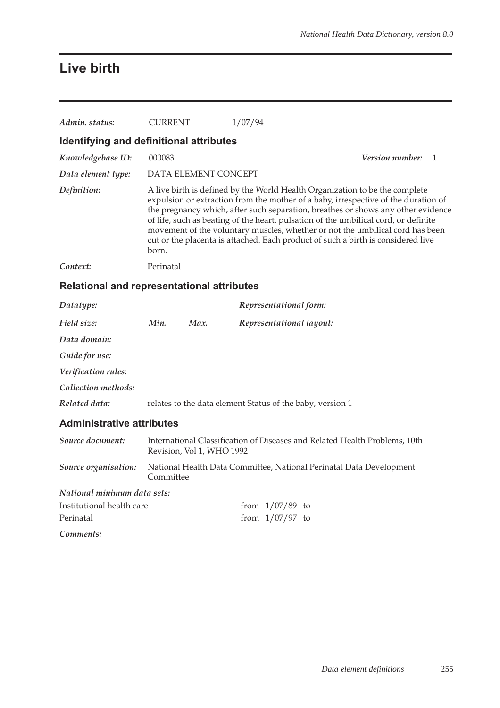## **Live birth**

| Admin. status:                          | <b>CURRENT</b>       | 1/07/94                                                                                                                                                                                                                                                                                                                                                                                                                                                                                                           |                          |  |
|-----------------------------------------|----------------------|-------------------------------------------------------------------------------------------------------------------------------------------------------------------------------------------------------------------------------------------------------------------------------------------------------------------------------------------------------------------------------------------------------------------------------------------------------------------------------------------------------------------|--------------------------|--|
| Identifying and definitional attributes |                      |                                                                                                                                                                                                                                                                                                                                                                                                                                                                                                                   |                          |  |
| Knowledgebase ID:                       | 000083               |                                                                                                                                                                                                                                                                                                                                                                                                                                                                                                                   | <b>Version number:</b> 1 |  |
| Data element type:                      | DATA ELEMENT CONCEPT |                                                                                                                                                                                                                                                                                                                                                                                                                                                                                                                   |                          |  |
| Definition:                             | born.                | A live birth is defined by the World Health Organization to be the complete<br>expulsion or extraction from the mother of a baby, irrespective of the duration of<br>the pregnancy which, after such separation, breathes or shows any other evidence<br>of life, such as beating of the heart, pulsation of the umbilical cord, or definite<br>movement of the voluntary muscles, whether or not the umbilical cord has been<br>cut or the placenta is attached. Each product of such a birth is considered live |                          |  |
| Context:                                | Perinatal            |                                                                                                                                                                                                                                                                                                                                                                                                                                                                                                                   |                          |  |

## **Relational and representational attributes**

| Datatype:           |      |      | Representational form:                                    |
|---------------------|------|------|-----------------------------------------------------------|
| Field size:         | Min. | Max. | Representational layout:                                  |
| Data domain:        |      |      |                                                           |
| Guide for use:      |      |      |                                                           |
| Verification rules: |      |      |                                                           |
| Collection methods: |      |      |                                                           |
| Related data:       |      |      | relates to the data element Status of the baby, version 1 |

### **Administrative attributes**

| Source document:            | International Classification of Diseases and Related Health Problems, 10th<br>Revision, Vol 1, WHO 1992 |  |  |  |  |
|-----------------------------|---------------------------------------------------------------------------------------------------------|--|--|--|--|
| Source organisation:        | National Health Data Committee, National Perinatal Data Development<br>Committee                        |  |  |  |  |
| National minimum data sets: |                                                                                                         |  |  |  |  |
| Institutional health care   | from $1/07/89$ to                                                                                       |  |  |  |  |
| Perinatal                   | from $1/07/97$ to                                                                                       |  |  |  |  |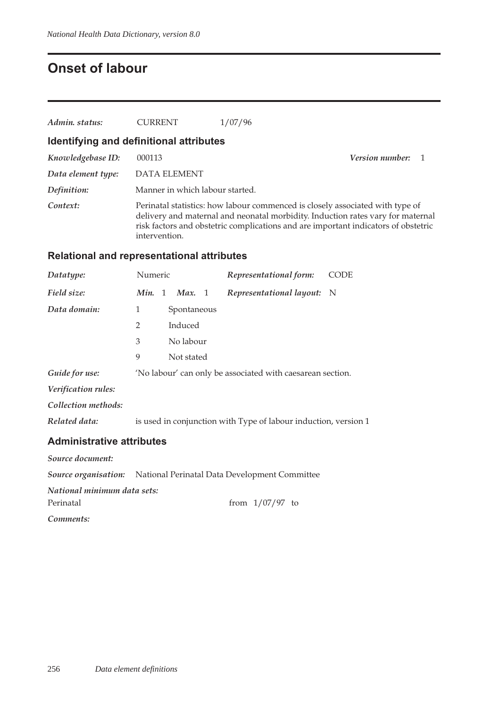## **Onset of labour**

| Admin. status:                          | <b>CURRENT</b>                  | 1/07/96 |                                                                                                                                                                                                                                                        |  |
|-----------------------------------------|---------------------------------|---------|--------------------------------------------------------------------------------------------------------------------------------------------------------------------------------------------------------------------------------------------------------|--|
| Identifying and definitional attributes |                                 |         |                                                                                                                                                                                                                                                        |  |
| Knowledgebase ID:                       | 000113                          |         | <b>Version number:</b> 1                                                                                                                                                                                                                               |  |
| Data element type:                      | <b>DATA ELEMENT</b>             |         |                                                                                                                                                                                                                                                        |  |
| Definition:                             | Manner in which labour started. |         |                                                                                                                                                                                                                                                        |  |
| Context:                                | intervention.                   |         | Perinatal statistics: how labour commenced is closely associated with type of<br>delivery and maternal and neonatal morbidity. Induction rates vary for maternal<br>risk factors and obstetric complications and are important indicators of obstetric |  |

### **Relational and representational attributes**

| Datatype:                        | Numeric        |             | Representational form:                                          | <b>CODE</b> |
|----------------------------------|----------------|-------------|-----------------------------------------------------------------|-------------|
| Field size:                      | Min. 1         | Max. 1      | Representational layout: N                                      |             |
| Data domain:                     | 1              | Spontaneous |                                                                 |             |
|                                  | $\overline{2}$ | Induced     |                                                                 |             |
|                                  | 3              | No labour   |                                                                 |             |
|                                  | 9              | Not stated  |                                                                 |             |
| Guide for use:                   |                |             | 'No labour' can only be associated with caesarean section.      |             |
| Verification rules:              |                |             |                                                                 |             |
| Collection methods:              |                |             |                                                                 |             |
| Related data:                    |                |             | is used in conjunction with Type of labour induction, version 1 |             |
| <b>Administrative attributes</b> |                |             |                                                                 |             |
| Source document:                 |                |             |                                                                 |             |

*Source organisation:* National Perinatal Data Development Committee

*National minimum data sets:*

Perinatal from 1/07/97 to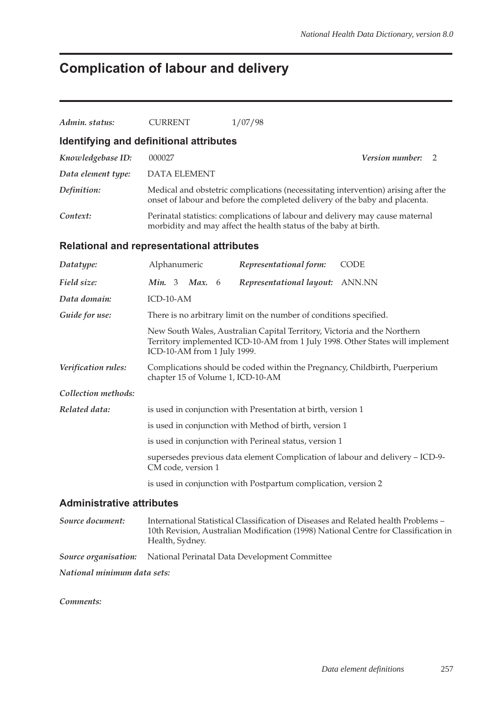## **Complication of labour and delivery**

| Admin. status:                                    | <b>CURRENT</b>                    | 1/07/98                                                                                                                                                           |
|---------------------------------------------------|-----------------------------------|-------------------------------------------------------------------------------------------------------------------------------------------------------------------|
| Identifying and definitional attributes           |                                   |                                                                                                                                                                   |
| Knowledgebase ID:                                 | 000027                            | <i>Version number:</i><br>2                                                                                                                                       |
| Data element type:                                | <b>DATA ELEMENT</b>               |                                                                                                                                                                   |
| Definition:                                       |                                   | Medical and obstetric complications (necessitating intervention) arising after the<br>onset of labour and before the completed delivery of the baby and placenta. |
| Context:                                          |                                   | Perinatal statistics: complications of labour and delivery may cause maternal<br>morbidity and may affect the health status of the baby at birth.                 |
| <b>Relational and representational attributes</b> |                                   |                                                                                                                                                                   |
| Datatype:                                         | Alphanumeric                      | Representational form:<br><b>CODE</b>                                                                                                                             |
| Field size:                                       | Min. 3<br><b>Max.</b> 6           | Representational layout: ANN.NN                                                                                                                                   |
| Data domain:                                      | ICD-10-AM                         |                                                                                                                                                                   |
| Guide for use:                                    |                                   | There is no arbitrary limit on the number of conditions specified.                                                                                                |
|                                                   | ICD-10-AM from 1 July 1999.       | New South Wales, Australian Capital Territory, Victoria and the Northern<br>Territory implemented ICD-10-AM from 1 July 1998. Other States will implement         |
| Verification rules:                               | chapter 15 of Volume 1, ICD-10-AM | Complications should be coded within the Pregnancy, Childbirth, Puerperium                                                                                        |
| Collection methods:                               |                                   |                                                                                                                                                                   |
| Related data:                                     |                                   | is used in conjunction with Presentation at birth, version 1                                                                                                      |
|                                                   |                                   | is used in conjunction with Method of birth, version 1                                                                                                            |
|                                                   |                                   | is used in conjunction with Perineal status, version 1                                                                                                            |
|                                                   | CM code, version 1                | supersedes previous data element Complication of labour and delivery - ICD-9-                                                                                     |
|                                                   |                                   | is used in conjunction with Postpartum complication, version 2                                                                                                    |
| <b>Administrative attributes</b>                  |                                   |                                                                                                                                                                   |

*Source document:* International Statistical Classification of Diseases and Related health Problems – 10th Revision, Australian Modification (1998) National Centre for Classification in Health, Sydney. *Source organisation:* National Perinatal Data Development Committee *National minimum data sets:*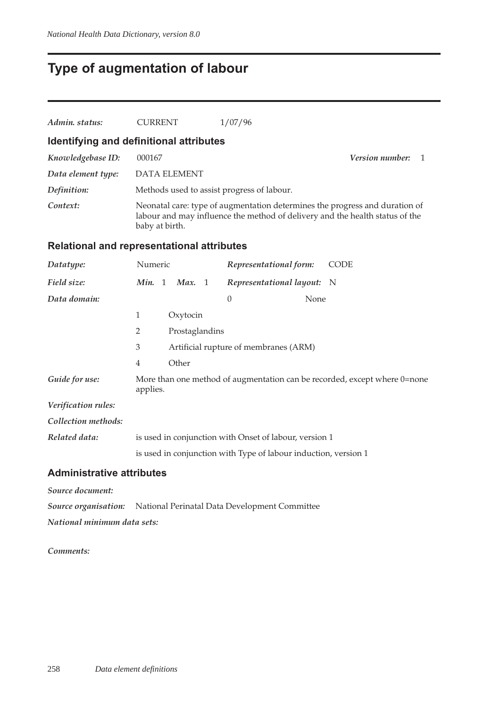## **Type of augmentation of labour**

| Admin. status:                                    | <b>CURRENT</b> |                                                                                                                                                                               | 1/07/96                                                         |      |                                                                           |  |  |
|---------------------------------------------------|----------------|-------------------------------------------------------------------------------------------------------------------------------------------------------------------------------|-----------------------------------------------------------------|------|---------------------------------------------------------------------------|--|--|
| Identifying and definitional attributes           |                |                                                                                                                                                                               |                                                                 |      |                                                                           |  |  |
| Knowledgebase ID:                                 | 000167         | Version number:<br>1                                                                                                                                                          |                                                                 |      |                                                                           |  |  |
| Data element type:                                |                | <b>DATA ELEMENT</b>                                                                                                                                                           |                                                                 |      |                                                                           |  |  |
| Definition:                                       |                |                                                                                                                                                                               | Methods used to assist progress of labour.                      |      |                                                                           |  |  |
| Context:                                          |                | Neonatal care: type of augmentation determines the progress and duration of<br>labour and may influence the method of delivery and the health status of the<br>baby at birth. |                                                                 |      |                                                                           |  |  |
| <b>Relational and representational attributes</b> |                |                                                                                                                                                                               |                                                                 |      |                                                                           |  |  |
| Datatype:                                         | Numeric        |                                                                                                                                                                               | Representational form:                                          |      | <b>CODE</b>                                                               |  |  |
| Field size:                                       | Min. 1         | Max. 1                                                                                                                                                                        | Representational layout: N                                      |      |                                                                           |  |  |
| Data domain:                                      |                |                                                                                                                                                                               | $\overline{0}$                                                  | None |                                                                           |  |  |
|                                                   | 1              | Oxytocin                                                                                                                                                                      |                                                                 |      |                                                                           |  |  |
|                                                   | $\overline{2}$ | Prostaglandins                                                                                                                                                                |                                                                 |      |                                                                           |  |  |
|                                                   | 3              |                                                                                                                                                                               | Artificial rupture of membranes (ARM)                           |      |                                                                           |  |  |
|                                                   | $\overline{4}$ | Other                                                                                                                                                                         |                                                                 |      |                                                                           |  |  |
| Guide for use:                                    | applies.       |                                                                                                                                                                               |                                                                 |      | More than one method of augmentation can be recorded, except where 0=none |  |  |
| Verification rules:                               |                |                                                                                                                                                                               |                                                                 |      |                                                                           |  |  |
| Collection methods:                               |                |                                                                                                                                                                               |                                                                 |      |                                                                           |  |  |
| Related data:                                     |                |                                                                                                                                                                               | is used in conjunction with Onset of labour, version 1          |      |                                                                           |  |  |
|                                                   |                |                                                                                                                                                                               | is used in conjunction with Type of labour induction, version 1 |      |                                                                           |  |  |

#### **Administrative attributes**

*Source document:*

*Source organisation:* National Perinatal Data Development Committee

*National minimum data sets:*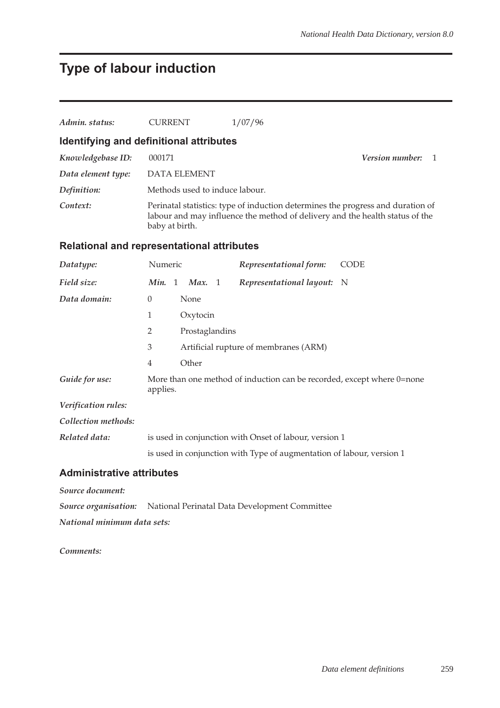## **Type of labour induction**

| Admin. status:                                    | <b>CURRENT</b>                 | 1/07/96                                                                                                                                                         |                              |
|---------------------------------------------------|--------------------------------|-----------------------------------------------------------------------------------------------------------------------------------------------------------------|------------------------------|
| Identifying and definitional attributes           |                                |                                                                                                                                                                 |                              |
| Knowledgebase ID:                                 | 000171                         |                                                                                                                                                                 | <i>Version number:</i><br>-1 |
| Data element type:                                | <b>DATA ELEMENT</b>            |                                                                                                                                                                 |                              |
| Definition:                                       | Methods used to induce labour. |                                                                                                                                                                 |                              |
| Context:                                          | baby at birth.                 | Perinatal statistics: type of induction determines the progress and duration of<br>labour and may influence the method of delivery and the health status of the |                              |
| <b>Relational and representational attributes</b> |                                |                                                                                                                                                                 |                              |
| Datatype:                                         | Numeric                        | Representational form:                                                                                                                                          | <b>CODE</b>                  |
| Field size:                                       | <i>Min.</i> 1 <i>Max.</i> 1    | Representational layout: N                                                                                                                                      |                              |
| Data domain:                                      | $\theta$<br>None               |                                                                                                                                                                 |                              |
|                                                   | 1<br>Oxytocin                  |                                                                                                                                                                 |                              |

3 Artificial rupture of membranes (ARM)

*Guide for use:* More than one method of induction can be recorded, except where 0=none

is used in conjunction with Type of augmentation of labour, version 1

#### **Administrative attributes**

*Source document:*

*Verification rules: Collection methods:*

*Source organisation:* National Perinatal Data Development Committee

*Related data:* is used in conjunction with Onset of labour, version 1

2 Prostaglandins

4 Other

applies.

*National minimum data sets:*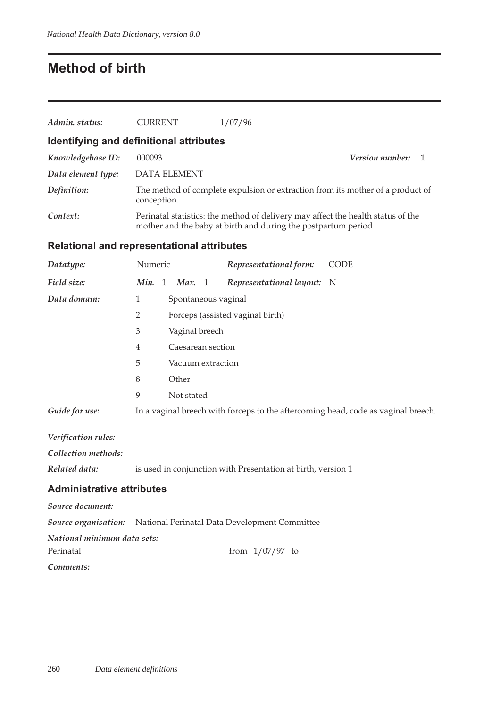## **Method of birth**

| Admin. status:                                    | <b>CURRENT</b>                      | 1/07/96                                                                                                                                            |                                                                                   |
|---------------------------------------------------|-------------------------------------|----------------------------------------------------------------------------------------------------------------------------------------------------|-----------------------------------------------------------------------------------|
| Identifying and definitional attributes           |                                     |                                                                                                                                                    |                                                                                   |
| Knowledgebase ID:                                 | 000093                              |                                                                                                                                                    | <b>Version number:</b><br>$\overline{1}$                                          |
| Data element type:                                | <b>DATA ELEMENT</b>                 |                                                                                                                                                    |                                                                                   |
| Definition:                                       | conception.                         |                                                                                                                                                    | The method of complete expulsion or extraction from its mother of a product of    |
| Context:                                          |                                     | Perinatal statistics: the method of delivery may affect the health status of the<br>mother and the baby at birth and during the postpartum period. |                                                                                   |
| <b>Relational and representational attributes</b> |                                     |                                                                                                                                                    |                                                                                   |
| Datatype:                                         | Numeric                             | Representational form:                                                                                                                             | <b>CODE</b>                                                                       |
| Field size:                                       | Min. 1<br>Max. $1$                  | Representational layout:                                                                                                                           | - N                                                                               |
| Data domain:                                      | $\mathbf{1}$<br>Spontaneous vaginal |                                                                                                                                                    |                                                                                   |
|                                                   | $\overline{2}$                      | Forceps (assisted vaginal birth)                                                                                                                   |                                                                                   |
|                                                   | 3<br>Vaginal breech                 |                                                                                                                                                    |                                                                                   |
|                                                   | Caesarean section<br>4              |                                                                                                                                                    |                                                                                   |
|                                                   | 5<br>Vacuum extraction              |                                                                                                                                                    |                                                                                   |
|                                                   | Other<br>8                          |                                                                                                                                                    |                                                                                   |
|                                                   | 9<br>Not stated                     |                                                                                                                                                    |                                                                                   |
| Guide for use:                                    |                                     |                                                                                                                                                    | In a vaginal breech with forceps to the aftercoming head, code as vaginal breech. |
| Verification rules:                               |                                     |                                                                                                                                                    |                                                                                   |

*Collection methods:*

*Related data:* is used in conjunction with Presentation at birth, version 1

#### **Administrative attributes**

*Source document: Source organisation:* National Perinatal Data Development Committee *National minimum data sets:* Perinatal from  $1/07/97$  to *Comments:*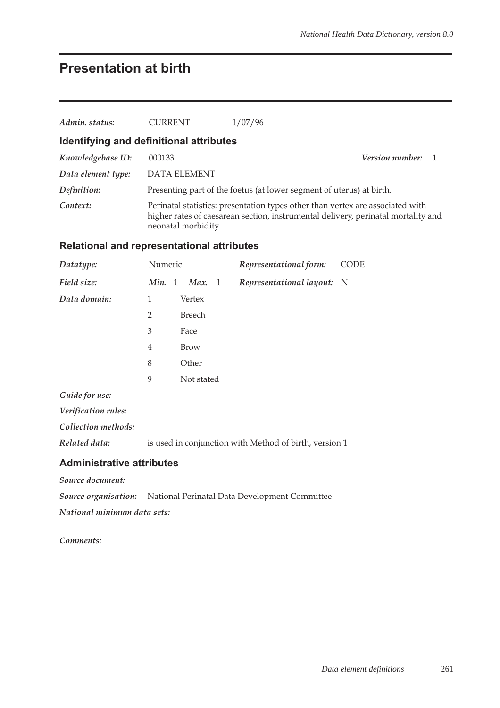## **Presentation at birth**

| Admin. status:     | <b>CURRENT</b>                          | 1/07/96                                                                                                                                                             |                |
|--------------------|-----------------------------------------|---------------------------------------------------------------------------------------------------------------------------------------------------------------------|----------------|
|                    | Identifying and definitional attributes |                                                                                                                                                                     |                |
| Knowledgebase ID:  | 000133                                  | <b>Version number:</b>                                                                                                                                              | $\overline{1}$ |
| Data element type: | <b>DATA ELEMENT</b>                     |                                                                                                                                                                     |                |
| Definition:        |                                         | Presenting part of the foetus (at lower segment of uterus) at birth.                                                                                                |                |
| Context:           | neonatal morbidity.                     | Perinatal statistics: presentation types other than vertex are associated with<br>higher rates of caesarean section, instrumental delivery, perinatal mortality and |                |

### **Relational and representational attributes**

| Datatype:           | Numeric        |                  | Representational form:     | <b>CODE</b> |
|---------------------|----------------|------------------|----------------------------|-------------|
| Field size:         | Min.           | Max.<br>-1<br>-1 | Representational layout: N |             |
| Data domain:        | 1              | Vertex           |                            |             |
|                     | $\overline{2}$ | <b>Breech</b>    |                            |             |
|                     | 3              | Face             |                            |             |
|                     | $\overline{4}$ | <b>Brow</b>      |                            |             |
|                     | 8              | Other            |                            |             |
|                     | 9              | Not stated       |                            |             |
| Guide for use:      |                |                  |                            |             |
| Verification rules: |                |                  |                            |             |
|                     |                |                  |                            |             |

*Collection methods:*

*Related data:* is used in conjunction with Method of birth, version 1

#### **Administrative attributes**

*Source document:*

*Source organisation:* National Perinatal Data Development Committee

*National minimum data sets:*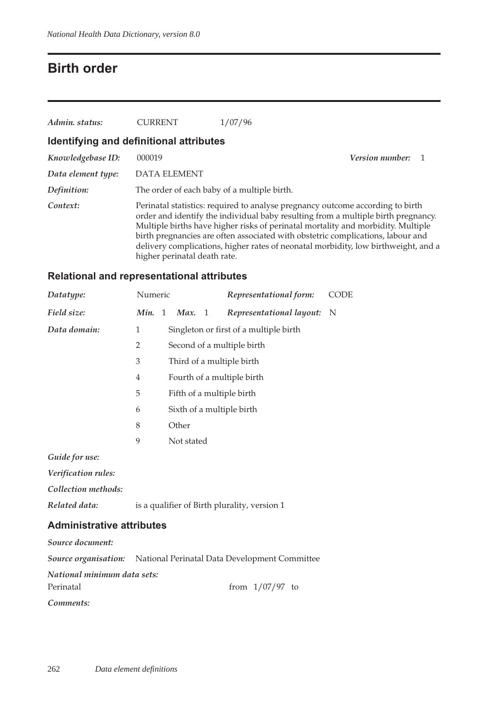## **Birth order**

| Admin. status:     | <b>CURRENT</b>                              | 1/07/96                                                                                                                                                                                                                                                                                                                                                                                                                          |                 |
|--------------------|---------------------------------------------|----------------------------------------------------------------------------------------------------------------------------------------------------------------------------------------------------------------------------------------------------------------------------------------------------------------------------------------------------------------------------------------------------------------------------------|-----------------|
|                    | Identifying and definitional attributes     |                                                                                                                                                                                                                                                                                                                                                                                                                                  |                 |
| Knowledgebase ID:  | 000019                                      |                                                                                                                                                                                                                                                                                                                                                                                                                                  | Version number: |
| Data element type: | <b>DATA ELEMENT</b>                         |                                                                                                                                                                                                                                                                                                                                                                                                                                  |                 |
| Definition:        | The order of each baby of a multiple birth. |                                                                                                                                                                                                                                                                                                                                                                                                                                  |                 |
| Context:           | higher perinatal death rate.                | Perinatal statistics: required to analyse pregnancy outcome according to birth<br>order and identify the individual baby resulting from a multiple birth pregnancy.<br>Multiple births have higher risks of perinatal mortality and morbidity. Multiple<br>birth pregnancies are often associated with obstetric complications, labour and<br>delivery complications, higher rates of neonatal morbidity, low birthweight, and a |                 |

### **Relational and representational attributes**

| Datatype:    | Numeric |   |            |     | Representational form:                 | <b>CODE</b> |
|--------------|---------|---|------------|-----|----------------------------------------|-------------|
| Field size:  | Min.    | 1 | Max.       | - 1 | Representational layout: N             |             |
| Data domain: | 1       |   |            |     | Singleton or first of a multiple birth |             |
|              | 2       |   |            |     | Second of a multiple birth             |             |
|              | 3       |   |            |     | Third of a multiple birth              |             |
|              | 4       |   |            |     | Fourth of a multiple birth             |             |
|              | 5       |   |            |     | Fifth of a multiple birth              |             |
|              | 6       |   |            |     | Sixth of a multiple birth              |             |
|              | 8       |   | Other      |     |                                        |             |
|              | 9       |   | Not stated |     |                                        |             |
|              |         |   |            |     |                                        |             |

*Guide for use:*

*Verification rules:*

*Collection methods:*

*Related data:* is a qualifier of Birth plurality, version 1

#### **Administrative attributes**

*Source document:*

*Source organisation:* National Perinatal Data Development Committee

*National minimum data sets:*

Perinatal from  $1/07/97$  to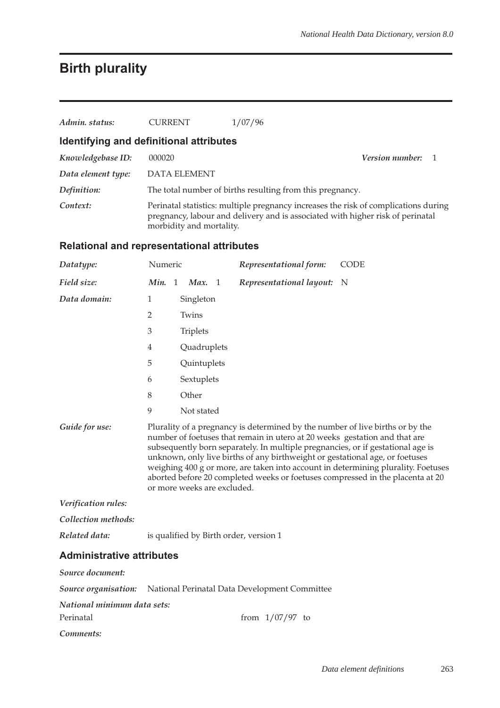# **Birth plurality**

| Admin. status:     | <b>CURRENT</b>                          | 1/07/96                                                                                                                                                               |                          |
|--------------------|-----------------------------------------|-----------------------------------------------------------------------------------------------------------------------------------------------------------------------|--------------------------|
|                    | Identifying and definitional attributes |                                                                                                                                                                       |                          |
| Knowledgebase ID:  | 000020                                  |                                                                                                                                                                       | <b>Version number:</b> 1 |
| Data element type: | <b>DATA ELEMENT</b>                     |                                                                                                                                                                       |                          |
| Definition:        |                                         | The total number of births resulting from this pregnancy.                                                                                                             |                          |
| Context:           | morbidity and mortality.                | Perinatal statistics: multiple pregnancy increases the risk of complications during<br>pregnancy, labour and delivery and is associated with higher risk of perinatal |                          |

### **Relational and representational attributes**

| Datatype:                                | Numeric                     |                 |             | Representational form:                                                                                                                                                                                                                                                                                                         | <b>CODE</b>                                                                                                                                                         |
|------------------------------------------|-----------------------------|-----------------|-------------|--------------------------------------------------------------------------------------------------------------------------------------------------------------------------------------------------------------------------------------------------------------------------------------------------------------------------------|---------------------------------------------------------------------------------------------------------------------------------------------------------------------|
| Field size:                              | Min. 1                      |                 | Max. 1      | Representational layout:                                                                                                                                                                                                                                                                                                       | $\mathbf N$                                                                                                                                                         |
| Data domain:                             | 1                           |                 | Singleton   |                                                                                                                                                                                                                                                                                                                                |                                                                                                                                                                     |
|                                          | $\overline{2}$              | Twins           |             |                                                                                                                                                                                                                                                                                                                                |                                                                                                                                                                     |
|                                          | 3                           | <b>Triplets</b> |             |                                                                                                                                                                                                                                                                                                                                |                                                                                                                                                                     |
|                                          | 4                           |                 | Quadruplets |                                                                                                                                                                                                                                                                                                                                |                                                                                                                                                                     |
|                                          | 5                           |                 | Quintuplets |                                                                                                                                                                                                                                                                                                                                |                                                                                                                                                                     |
|                                          | 6                           |                 | Sextuplets  |                                                                                                                                                                                                                                                                                                                                |                                                                                                                                                                     |
|                                          | 8                           | Other           |             |                                                                                                                                                                                                                                                                                                                                |                                                                                                                                                                     |
|                                          | 9                           |                 | Not stated  |                                                                                                                                                                                                                                                                                                                                |                                                                                                                                                                     |
| Guide for use:                           | or more weeks are excluded. |                 |             | Plurality of a pregnancy is determined by the number of live births or by the<br>number of foetuses that remain in utero at 20 weeks gestation and that are<br>subsequently born separately. In multiple pregnancies, or if gestational age is<br>unknown, only live births of any birthweight or gestational age, or foetuses | weighing 400 g or more, are taken into account in determining plurality. Foetuses<br>aborted before 20 completed weeks or foetuses compressed in the placenta at 20 |
| Verification rules:                      |                             |                 |             |                                                                                                                                                                                                                                                                                                                                |                                                                                                                                                                     |
| Collection methods:                      |                             |                 |             |                                                                                                                                                                                                                                                                                                                                |                                                                                                                                                                     |
| Related data:                            |                             |                 |             | is qualified by Birth order, version 1                                                                                                                                                                                                                                                                                         |                                                                                                                                                                     |
| <b>Administrative attributes</b>         |                             |                 |             |                                                                                                                                                                                                                                                                                                                                |                                                                                                                                                                     |
| Source document:                         |                             |                 |             |                                                                                                                                                                                                                                                                                                                                |                                                                                                                                                                     |
|                                          |                             |                 |             | <b>Source organisation:</b> National Perinatal Data Development Committee                                                                                                                                                                                                                                                      |                                                                                                                                                                     |
| National minimum data sets:<br>Perinatal |                             |                 |             | from $1/07/97$ to                                                                                                                                                                                                                                                                                                              |                                                                                                                                                                     |
| Comments:                                |                             |                 |             |                                                                                                                                                                                                                                                                                                                                |                                                                                                                                                                     |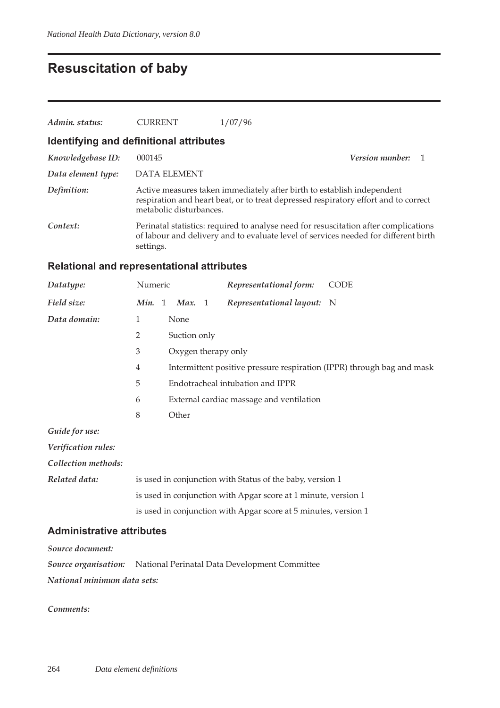## **Resuscitation of baby**

| Admin. status:     | <b>CURRENT</b>                          | 1/07/96                                                                                                                                                                     |                          |  |
|--------------------|-----------------------------------------|-----------------------------------------------------------------------------------------------------------------------------------------------------------------------------|--------------------------|--|
|                    | Identifying and definitional attributes |                                                                                                                                                                             |                          |  |
| Knowledgebase ID:  | 000145                                  |                                                                                                                                                                             | <b>Version number:</b> 1 |  |
| Data element type: | DATA ELEMENT                            |                                                                                                                                                                             |                          |  |
| Definition:        | metabolic disturbances.                 | Active measures taken immediately after birth to establish independent<br>respiration and heart beat, or to treat depressed respiratory effort and to correct               |                          |  |
| Context:           | settings.                               | Perinatal statistics: required to analyse need for resuscitation after complications<br>of labour and delivery and to evaluate level of services needed for different birth |                          |  |

## **Relational and representational attributes**

| Datatype:           | Numeric        |                     | Representational form:                   | <b>CODE</b>                                                            |
|---------------------|----------------|---------------------|------------------------------------------|------------------------------------------------------------------------|
| Field size:         | Min. 1         | Max. 1              | Representational layout: N               |                                                                        |
| Data domain:        | 1              | None                |                                          |                                                                        |
|                     | $\overline{2}$ | Suction only        |                                          |                                                                        |
|                     | 3              | Oxygen therapy only |                                          |                                                                        |
|                     | $\overline{4}$ |                     |                                          | Intermittent positive pressure respiration (IPPR) through bag and mask |
|                     | 5              |                     | Endotracheal intubation and IPPR         |                                                                        |
|                     | 6              |                     | External cardiac massage and ventilation |                                                                        |
|                     | 8              | Other               |                                          |                                                                        |
| Guide for use:      |                |                     |                                          |                                                                        |
| Verification rules: |                |                     |                                          |                                                                        |

*Collection methods:*

| Related data: | is used in conjunction with Status of the baby, version 1       |
|---------------|-----------------------------------------------------------------|
|               | is used in conjunction with Apgar score at 1 minute, version 1  |
|               | is used in conjunction with Apgar score at 5 minutes, version 1 |

### **Administrative attributes**

*Source document:*

|                             | <b>Source organisation:</b> National Perinatal Data Development Committee |
|-----------------------------|---------------------------------------------------------------------------|
| National minimum data sets: |                                                                           |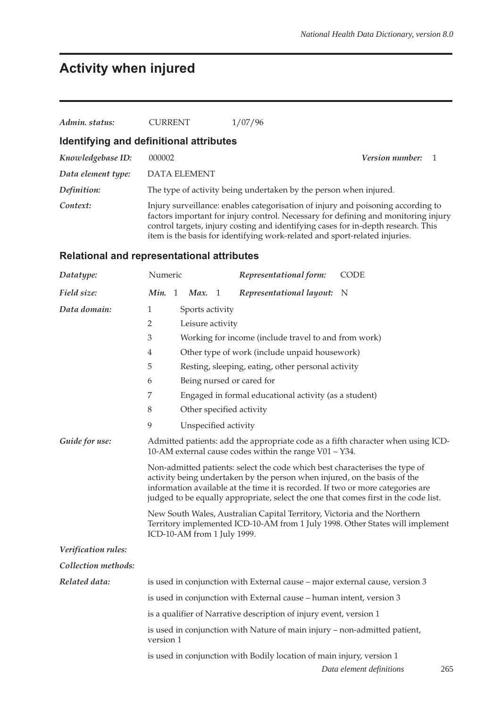# **Activity when injured**

| Admin. status:     | <b>CURRENT</b>                          | 1/07/96                                                                                                                                                                                                                                                     |  |
|--------------------|-----------------------------------------|-------------------------------------------------------------------------------------------------------------------------------------------------------------------------------------------------------------------------------------------------------------|--|
|                    | Identifying and definitional attributes |                                                                                                                                                                                                                                                             |  |
| Knowledgebase ID:  | 000002                                  | <b>Version number:</b> 1                                                                                                                                                                                                                                    |  |
| Data element type: | <b>DATA ELEMENT</b>                     |                                                                                                                                                                                                                                                             |  |
| Definition:        |                                         | The type of activity being undertaken by the person when injured.                                                                                                                                                                                           |  |
| Context:           |                                         | Injury surveillance: enables categorisation of injury and poisoning according to<br>factors important for injury control. Necessary for defining and monitoring injury<br>control targets, injury costing and identifying cases for in-depth research. This |  |

item is the basis for identifying work-related and sport-related injuries.

## **Relational and representational attributes**

| Datatype:                                                                                                                                                    | Numeric                                                                                                                                                                                                                                                                                                                            |                      |                  |     | Representational form:                                                       | <b>CODE</b>                     |  |  |  |
|--------------------------------------------------------------------------------------------------------------------------------------------------------------|------------------------------------------------------------------------------------------------------------------------------------------------------------------------------------------------------------------------------------------------------------------------------------------------------------------------------------|----------------------|------------------|-----|------------------------------------------------------------------------------|---------------------------------|--|--|--|
| Field size:                                                                                                                                                  | Min. 1                                                                                                                                                                                                                                                                                                                             |                      | Max.             | - 1 | Representational layout:                                                     | - N                             |  |  |  |
| Data domain:                                                                                                                                                 | 1                                                                                                                                                                                                                                                                                                                                  |                      | Sports activity  |     |                                                                              |                                 |  |  |  |
|                                                                                                                                                              | $\overline{2}$                                                                                                                                                                                                                                                                                                                     |                      | Leisure activity |     |                                                                              |                                 |  |  |  |
|                                                                                                                                                              | 3                                                                                                                                                                                                                                                                                                                                  |                      |                  |     | Working for income (include travel to and from work)                         |                                 |  |  |  |
|                                                                                                                                                              | 4                                                                                                                                                                                                                                                                                                                                  |                      |                  |     | Other type of work (include unpaid housework)                                |                                 |  |  |  |
|                                                                                                                                                              | 5                                                                                                                                                                                                                                                                                                                                  |                      |                  |     | Resting, sleeping, eating, other personal activity                           |                                 |  |  |  |
|                                                                                                                                                              | 6                                                                                                                                                                                                                                                                                                                                  |                      |                  |     | Being nursed or cared for                                                    |                                 |  |  |  |
|                                                                                                                                                              | 7<br>Engaged in formal educational activity (as a student)                                                                                                                                                                                                                                                                         |                      |                  |     |                                                                              |                                 |  |  |  |
|                                                                                                                                                              | $\,8\,$<br>Other specified activity                                                                                                                                                                                                                                                                                                |                      |                  |     |                                                                              |                                 |  |  |  |
|                                                                                                                                                              | 9                                                                                                                                                                                                                                                                                                                                  | Unspecified activity |                  |     |                                                                              |                                 |  |  |  |
| Guide for use:<br>Admitted patients: add the appropriate code as a fifth character when using ICD-<br>10-AM external cause codes within the range V01 - Y34. |                                                                                                                                                                                                                                                                                                                                    |                      |                  |     |                                                                              |                                 |  |  |  |
|                                                                                                                                                              | Non-admitted patients: select the code which best characterises the type of<br>activity being undertaken by the person when injured, on the basis of the<br>information available at the time it is recorded. If two or more categories are<br>judged to be equally appropriate, select the one that comes first in the code list. |                      |                  |     |                                                                              |                                 |  |  |  |
|                                                                                                                                                              | New South Wales, Australian Capital Territory, Victoria and the Northern<br>Territory implemented ICD-10-AM from 1 July 1998. Other States will implement<br>ICD-10-AM from 1 July 1999.                                                                                                                                           |                      |                  |     |                                                                              |                                 |  |  |  |
| Verification rules:                                                                                                                                          |                                                                                                                                                                                                                                                                                                                                    |                      |                  |     |                                                                              |                                 |  |  |  |
| Collection methods:                                                                                                                                          |                                                                                                                                                                                                                                                                                                                                    |                      |                  |     |                                                                              |                                 |  |  |  |
| Related data:                                                                                                                                                |                                                                                                                                                                                                                                                                                                                                    |                      |                  |     | is used in conjunction with External cause – major external cause, version 3 |                                 |  |  |  |
|                                                                                                                                                              |                                                                                                                                                                                                                                                                                                                                    |                      |                  |     | is used in conjunction with External cause – human intent, version 3         |                                 |  |  |  |
|                                                                                                                                                              | is a qualifier of Narrative description of injury event, version 1                                                                                                                                                                                                                                                                 |                      |                  |     |                                                                              |                                 |  |  |  |
|                                                                                                                                                              | is used in conjunction with Nature of main injury - non-admitted patient,<br>version 1                                                                                                                                                                                                                                             |                      |                  |     |                                                                              |                                 |  |  |  |
|                                                                                                                                                              |                                                                                                                                                                                                                                                                                                                                    |                      |                  |     | is used in conjunction with Bodily location of main injury, version 1        |                                 |  |  |  |
|                                                                                                                                                              |                                                                                                                                                                                                                                                                                                                                    |                      |                  |     |                                                                              | 265<br>Data element definitions |  |  |  |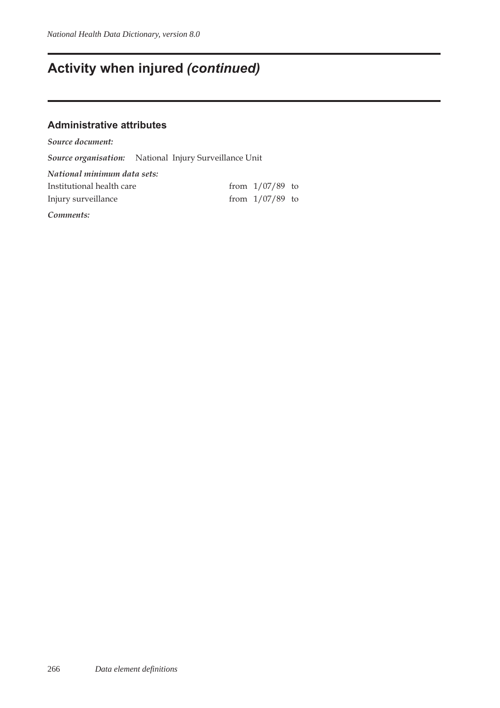## **Activity when injured** *(continued)*

### **Administrative attributes**

*Source document: Source organisation:* National Injury Surveillance Unit *National minimum data sets:* Institutional health care from  $1/07/89$  to Injury surveillance from 1/07/89 to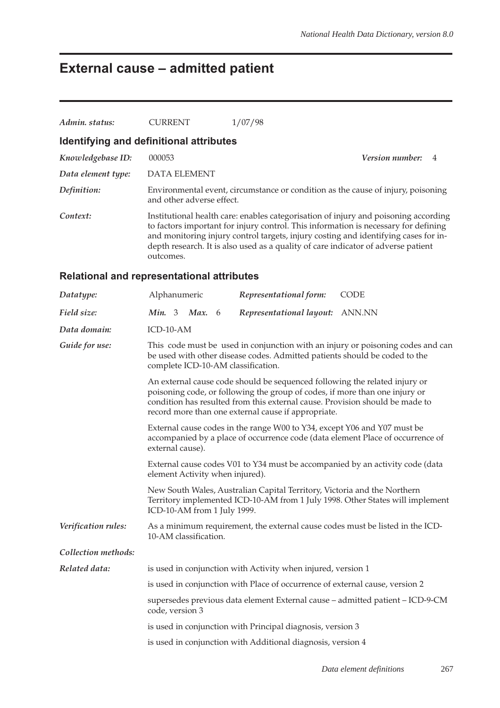# **External cause – admitted patient**

| Admin. status:                                    | <b>CURRENT</b>                                                                                                                                                                                                                                                                                   |                                                                                                                                                                                                                                                                                                                                                        | 1/07/98                                                                      |                                                                                  |  |  |  |  |
|---------------------------------------------------|--------------------------------------------------------------------------------------------------------------------------------------------------------------------------------------------------------------------------------------------------------------------------------------------------|--------------------------------------------------------------------------------------------------------------------------------------------------------------------------------------------------------------------------------------------------------------------------------------------------------------------------------------------------------|------------------------------------------------------------------------------|----------------------------------------------------------------------------------|--|--|--|--|
| Identifying and definitional attributes           |                                                                                                                                                                                                                                                                                                  |                                                                                                                                                                                                                                                                                                                                                        |                                                                              |                                                                                  |  |  |  |  |
| Knowledgebase ID:                                 | 000053                                                                                                                                                                                                                                                                                           |                                                                                                                                                                                                                                                                                                                                                        |                                                                              | Version number:<br>4                                                             |  |  |  |  |
| Data element type:                                | <b>DATA ELEMENT</b>                                                                                                                                                                                                                                                                              |                                                                                                                                                                                                                                                                                                                                                        |                                                                              |                                                                                  |  |  |  |  |
| Definition:                                       | and other adverse effect.                                                                                                                                                                                                                                                                        |                                                                                                                                                                                                                                                                                                                                                        |                                                                              | Environmental event, circumstance or condition as the cause of injury, poisoning |  |  |  |  |
| Context:                                          | outcomes.                                                                                                                                                                                                                                                                                        | Institutional health care: enables categorisation of injury and poisoning according<br>to factors important for injury control. This information is necessary for defining<br>and monitoring injury control targets, injury costing and identifying cases for in-<br>depth research. It is also used as a quality of care indicator of adverse patient |                                                                              |                                                                                  |  |  |  |  |
| <b>Relational and representational attributes</b> |                                                                                                                                                                                                                                                                                                  |                                                                                                                                                                                                                                                                                                                                                        |                                                                              |                                                                                  |  |  |  |  |
| Datatype:                                         | Alphanumeric                                                                                                                                                                                                                                                                                     |                                                                                                                                                                                                                                                                                                                                                        | Representational form:                                                       | <b>CODE</b>                                                                      |  |  |  |  |
| Field size:                                       | <i>Min.</i> 3 <i>Max.</i> 6                                                                                                                                                                                                                                                                      |                                                                                                                                                                                                                                                                                                                                                        | Representational layout: ANN.NN                                              |                                                                                  |  |  |  |  |
| Data domain:                                      | ICD-10-AM                                                                                                                                                                                                                                                                                        |                                                                                                                                                                                                                                                                                                                                                        |                                                                              |                                                                                  |  |  |  |  |
| Guide for use:                                    | This code must be used in conjunction with an injury or poisoning codes and can<br>be used with other disease codes. Admitted patients should be coded to the<br>complete ICD-10-AM classification.                                                                                              |                                                                                                                                                                                                                                                                                                                                                        |                                                                              |                                                                                  |  |  |  |  |
|                                                   | An external cause code should be sequenced following the related injury or<br>poisoning code, or following the group of codes, if more than one injury or<br>condition has resulted from this external cause. Provision should be made to<br>record more than one external cause if appropriate. |                                                                                                                                                                                                                                                                                                                                                        |                                                                              |                                                                                  |  |  |  |  |
|                                                   | external cause).                                                                                                                                                                                                                                                                                 | External cause codes in the range W00 to Y34, except Y06 and Y07 must be<br>accompanied by a place of occurrence code (data element Place of occurrence of                                                                                                                                                                                             |                                                                              |                                                                                  |  |  |  |  |
|                                                   |                                                                                                                                                                                                                                                                                                  |                                                                                                                                                                                                                                                                                                                                                        | element Activity when injured).                                              | External cause codes V01 to Y34 must be accompanied by an activity code (data    |  |  |  |  |
|                                                   | ICD-10-AM from 1 July 1999.                                                                                                                                                                                                                                                                      |                                                                                                                                                                                                                                                                                                                                                        | New South Wales, Australian Capital Territory, Victoria and the Northern     | Territory implemented ICD-10-AM from 1 July 1998. Other States will implement    |  |  |  |  |
| Verification rules:                               | 10-AM classification.                                                                                                                                                                                                                                                                            |                                                                                                                                                                                                                                                                                                                                                        |                                                                              | As a minimum requirement, the external cause codes must be listed in the ICD-    |  |  |  |  |
| Collection methods:                               |                                                                                                                                                                                                                                                                                                  |                                                                                                                                                                                                                                                                                                                                                        |                                                                              |                                                                                  |  |  |  |  |
| Related data:                                     |                                                                                                                                                                                                                                                                                                  |                                                                                                                                                                                                                                                                                                                                                        | is used in conjunction with Activity when injured, version 1                 |                                                                                  |  |  |  |  |
|                                                   |                                                                                                                                                                                                                                                                                                  |                                                                                                                                                                                                                                                                                                                                                        | is used in conjunction with Place of occurrence of external cause, version 2 |                                                                                  |  |  |  |  |
|                                                   | code, version 3                                                                                                                                                                                                                                                                                  |                                                                                                                                                                                                                                                                                                                                                        |                                                                              | supersedes previous data element External cause - admitted patient - ICD-9-CM    |  |  |  |  |
|                                                   |                                                                                                                                                                                                                                                                                                  |                                                                                                                                                                                                                                                                                                                                                        | is used in conjunction with Principal diagnosis, version 3                   |                                                                                  |  |  |  |  |
|                                                   |                                                                                                                                                                                                                                                                                                  |                                                                                                                                                                                                                                                                                                                                                        | is used in conjunction with Additional diagnosis, version 4                  |                                                                                  |  |  |  |  |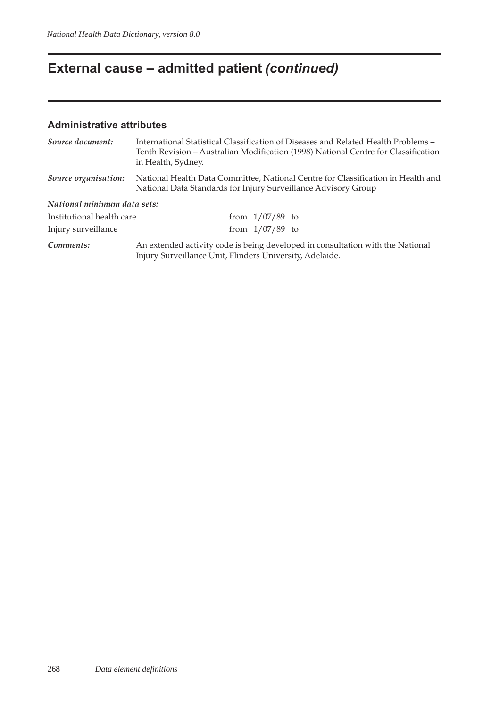# **External cause – admitted patient** *(continued)*

### **Administrative attributes**

| Source document:            | International Statistical Classification of Diseases and Related Health Problems –<br>Tenth Revision – Australian Modification (1998) National Centre for Classification<br>in Health, Sydney. |  |  |  |  |
|-----------------------------|------------------------------------------------------------------------------------------------------------------------------------------------------------------------------------------------|--|--|--|--|
| Source organisation:        | National Health Data Committee, National Centre for Classification in Health and<br>National Data Standards for Injury Surveillance Advisory Group                                             |  |  |  |  |
| National minimum data sets: |                                                                                                                                                                                                |  |  |  |  |
| Institutional health care   | from $1/07/89$ to                                                                                                                                                                              |  |  |  |  |
| Injury surveillance         | from $1/07/89$ to                                                                                                                                                                              |  |  |  |  |
| Comments:                   | An extended activity code is being developed in consultation with the National<br>Injury Surveillance Unit, Flinders University, Adelaide.                                                     |  |  |  |  |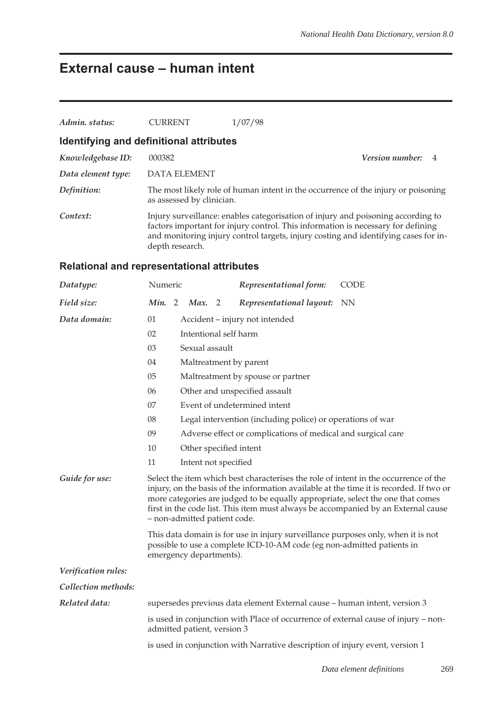## **External cause – human intent**

| Admin. status:                          | <b>CURRENT</b>            | 1/07/98                                                                                                                                                                                                                                                     |                        |                |  |  |  |  |
|-----------------------------------------|---------------------------|-------------------------------------------------------------------------------------------------------------------------------------------------------------------------------------------------------------------------------------------------------------|------------------------|----------------|--|--|--|--|
| Identifying and definitional attributes |                           |                                                                                                                                                                                                                                                             |                        |                |  |  |  |  |
| Knowledgebase ID:                       | 000382                    |                                                                                                                                                                                                                                                             | <b>Version number:</b> | $\overline{4}$ |  |  |  |  |
| Data element type:                      | DATA ELEMENT              |                                                                                                                                                                                                                                                             |                        |                |  |  |  |  |
| Definition:                             | as assessed by clinician. | The most likely role of human intent in the occurrence of the injury or poisoning                                                                                                                                                                           |                        |                |  |  |  |  |
| Context:                                | depth research.           | Injury surveillance: enables categorisation of injury and poisoning according to<br>factors important for injury control. This information is necessary for defining<br>and monitoring injury control targets, injury costing and identifying cases for in- |                        |                |  |  |  |  |

## **Relational and representational attributes**

| Datatype:           | Numeric                                                                                                                                                                                                                                                                                                                                                                                 |                                                                              |                                                            |  | Representational form:                                                    | <b>CODE</b>                                                                        |  |  |  |  |
|---------------------|-----------------------------------------------------------------------------------------------------------------------------------------------------------------------------------------------------------------------------------------------------------------------------------------------------------------------------------------------------------------------------------------|------------------------------------------------------------------------------|------------------------------------------------------------|--|---------------------------------------------------------------------------|------------------------------------------------------------------------------------|--|--|--|--|
| Field size:         | Min. 2                                                                                                                                                                                                                                                                                                                                                                                  |                                                                              | Max. 2                                                     |  | Representational layout:                                                  | <b>NN</b>                                                                          |  |  |  |  |
| Data domain:        | 01                                                                                                                                                                                                                                                                                                                                                                                      |                                                                              | Accident - injury not intended                             |  |                                                                           |                                                                                    |  |  |  |  |
|                     | 02                                                                                                                                                                                                                                                                                                                                                                                      |                                                                              | Intentional self harm                                      |  |                                                                           |                                                                                    |  |  |  |  |
|                     | 03                                                                                                                                                                                                                                                                                                                                                                                      |                                                                              | Sexual assault                                             |  |                                                                           |                                                                                    |  |  |  |  |
|                     | 04                                                                                                                                                                                                                                                                                                                                                                                      |                                                                              |                                                            |  | Maltreatment by parent                                                    |                                                                                    |  |  |  |  |
|                     | 05                                                                                                                                                                                                                                                                                                                                                                                      |                                                                              |                                                            |  | Maltreatment by spouse or partner                                         |                                                                                    |  |  |  |  |
|                     | 06                                                                                                                                                                                                                                                                                                                                                                                      |                                                                              |                                                            |  | Other and unspecified assault                                             |                                                                                    |  |  |  |  |
|                     | 07                                                                                                                                                                                                                                                                                                                                                                                      |                                                                              |                                                            |  | Event of undetermined intent                                              |                                                                                    |  |  |  |  |
|                     | 08                                                                                                                                                                                                                                                                                                                                                                                      |                                                                              | Legal intervention (including police) or operations of war |  |                                                                           |                                                                                    |  |  |  |  |
|                     | 09                                                                                                                                                                                                                                                                                                                                                                                      | Adverse effect or complications of medical and surgical care                 |                                                            |  |                                                                           |                                                                                    |  |  |  |  |
|                     | 10                                                                                                                                                                                                                                                                                                                                                                                      | Other specified intent                                                       |                                                            |  |                                                                           |                                                                                    |  |  |  |  |
|                     | 11                                                                                                                                                                                                                                                                                                                                                                                      | Intent not specified                                                         |                                                            |  |                                                                           |                                                                                    |  |  |  |  |
| Guide for use:      | Select the item which best characterises the role of intent in the occurrence of the<br>injury, on the basis of the information available at the time it is recorded. If two or<br>more categories are judged to be equally appropriate, select the one that comes<br>first in the code list. This item must always be accompanied by an External cause<br>- non-admitted patient code. |                                                                              |                                                            |  |                                                                           |                                                                                    |  |  |  |  |
|                     | This data domain is for use in injury surveillance purposes only, when it is not<br>possible to use a complete ICD-10-AM code (eg non-admitted patients in<br>emergency departments).                                                                                                                                                                                                   |                                                                              |                                                            |  |                                                                           |                                                                                    |  |  |  |  |
| Verification rules: |                                                                                                                                                                                                                                                                                                                                                                                         |                                                                              |                                                            |  |                                                                           |                                                                                    |  |  |  |  |
| Collection methods: |                                                                                                                                                                                                                                                                                                                                                                                         |                                                                              |                                                            |  |                                                                           |                                                                                    |  |  |  |  |
| Related data:       |                                                                                                                                                                                                                                                                                                                                                                                         |                                                                              |                                                            |  | supersedes previous data element External cause - human intent, version 3 |                                                                                    |  |  |  |  |
|                     |                                                                                                                                                                                                                                                                                                                                                                                         |                                                                              | admitted patient, version 3                                |  |                                                                           | is used in conjunction with Place of occurrence of external cause of injury – non- |  |  |  |  |
|                     |                                                                                                                                                                                                                                                                                                                                                                                         | is used in conjunction with Narrative description of injury event, version 1 |                                                            |  |                                                                           |                                                                                    |  |  |  |  |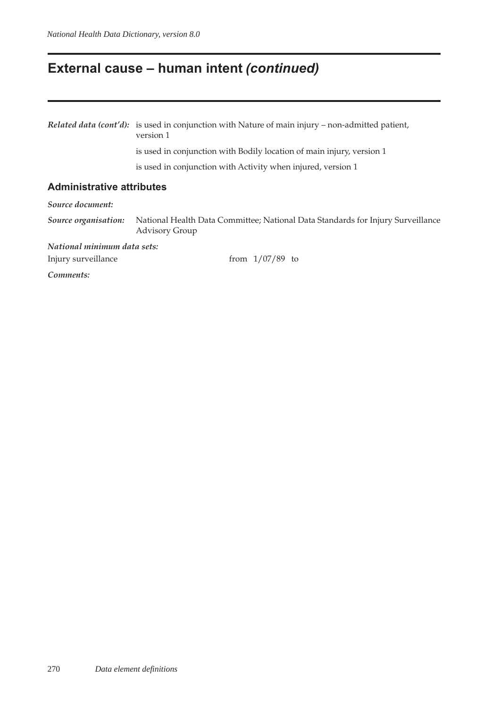## **External cause – human intent** *(continued)*

*Related data (cont'd):* is used in conjunction with Nature of main injury – non-admitted patient, version 1

is used in conjunction with Bodily location of main injury, version 1

is used in conjunction with Activity when injured, version 1

#### **Administrative attributes**

*Source document:*

*Source organisation:* National Health Data Committee; National Data Standards for Injury Surveillance Advisory Group

*National minimum data sets:*

Injury surveillance from 1/07/89 to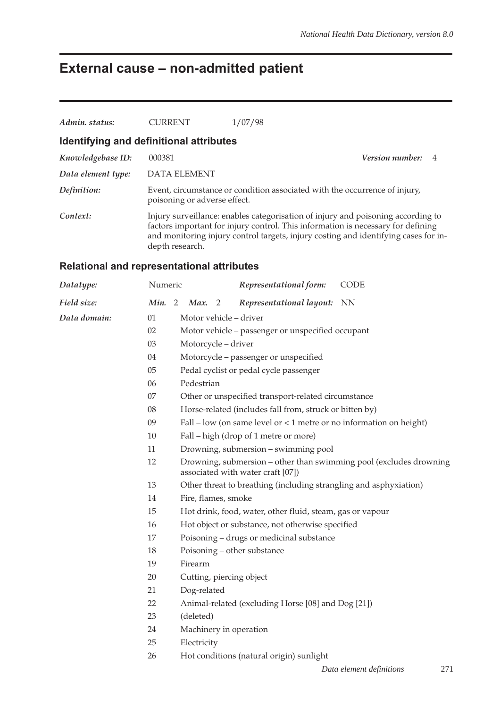# **External cause – non-admitted patient**

| Admin. status:       | <b>CURRENT</b>                                    | 1/07/98                                                                          |                                                                                                                                                                         |
|----------------------|---------------------------------------------------|----------------------------------------------------------------------------------|-------------------------------------------------------------------------------------------------------------------------------------------------------------------------|
|                      | Identifying and definitional attributes           |                                                                                  |                                                                                                                                                                         |
| Knowledgebase ID:    | 000381                                            |                                                                                  | <b>Version number:</b> 4                                                                                                                                                |
| Data element type:   | <b>DATA ELEMENT</b>                               |                                                                                  |                                                                                                                                                                         |
| Definition:          | poisoning or adverse effect.                      | Event, circumstance or condition associated with the occurrence of injury,       |                                                                                                                                                                         |
| Context:             | depth research.                                   | factors important for injury control. This information is necessary for defining | Injury surveillance: enables categorisation of injury and poisoning according to<br>and monitoring injury control targets, injury costing and identifying cases for in- |
|                      | <b>Relational and representational attributes</b> |                                                                                  |                                                                                                                                                                         |
| $\mathbf{D}$ atatung | $N_{11}$ moric                                    | Romnocontational formu                                                           | $C\cap\Gamma$                                                                                                                                                           |

| Datatype:    | Numeric |                                                   |                                                                                                         |  | Representational form:                             |  | <b>CODE</b>                                                           |  |  |  |
|--------------|---------|---------------------------------------------------|---------------------------------------------------------------------------------------------------------|--|----------------------------------------------------|--|-----------------------------------------------------------------------|--|--|--|
| Field size:  | Min. 2  |                                                   | Max. 2                                                                                                  |  | Representational layout: NN                        |  |                                                                       |  |  |  |
| Data domain: | 01      |                                                   | Motor vehicle - driver                                                                                  |  |                                                    |  |                                                                       |  |  |  |
|              | 02      | Motor vehicle - passenger or unspecified occupant |                                                                                                         |  |                                                    |  |                                                                       |  |  |  |
|              | 03      | Motorcycle - driver                               |                                                                                                         |  |                                                    |  |                                                                       |  |  |  |
|              | 04      |                                                   | Motorcycle – passenger or unspecified                                                                   |  |                                                    |  |                                                                       |  |  |  |
|              | $05\,$  |                                                   | Pedal cyclist or pedal cycle passenger                                                                  |  |                                                    |  |                                                                       |  |  |  |
|              | 06      |                                                   | Pedestrian                                                                                              |  |                                                    |  |                                                                       |  |  |  |
|              | $07\,$  |                                                   | Other or unspecified transport-related circumstance                                                     |  |                                                    |  |                                                                       |  |  |  |
|              | 08      |                                                   | Horse-related (includes fall from, struck or bitten by)                                                 |  |                                                    |  |                                                                       |  |  |  |
|              | 09      |                                                   |                                                                                                         |  |                                                    |  | Fall – low (on same level or $<$ 1 metre or no information on height) |  |  |  |
|              | 10      |                                                   |                                                                                                         |  | Fall – high (drop of 1 metre or more)              |  |                                                                       |  |  |  |
|              | 11      |                                                   | Drowning, submersion – swimming pool                                                                    |  |                                                    |  |                                                                       |  |  |  |
|              | 12      |                                                   | Drowning, submersion – other than swimming pool (excludes drowning<br>associated with water craft [07]) |  |                                                    |  |                                                                       |  |  |  |
|              | 13      |                                                   | Other threat to breathing (including strangling and asphyxiation)                                       |  |                                                    |  |                                                                       |  |  |  |
|              | 14      |                                                   | Fire, flames, smoke                                                                                     |  |                                                    |  |                                                                       |  |  |  |
|              | 15      |                                                   | Hot drink, food, water, other fluid, steam, gas or vapour                                               |  |                                                    |  |                                                                       |  |  |  |
|              | 16      |                                                   |                                                                                                         |  | Hot object or substance, not otherwise specified   |  |                                                                       |  |  |  |
|              | 17      |                                                   | Poisoning – drugs or medicinal substance                                                                |  |                                                    |  |                                                                       |  |  |  |
|              | 18      |                                                   |                                                                                                         |  | Poisoning – other substance                        |  |                                                                       |  |  |  |
|              | 19      |                                                   | Firearm                                                                                                 |  |                                                    |  |                                                                       |  |  |  |
|              | 20      |                                                   |                                                                                                         |  | Cutting, piercing object                           |  |                                                                       |  |  |  |
|              | 21      |                                                   | Dog-related                                                                                             |  |                                                    |  |                                                                       |  |  |  |
|              | 22      |                                                   |                                                                                                         |  | Animal-related (excluding Horse [08] and Dog [21]) |  |                                                                       |  |  |  |
|              | 23      |                                                   | (deleted)                                                                                               |  |                                                    |  |                                                                       |  |  |  |
|              | 24      |                                                   |                                                                                                         |  | Machinery in operation                             |  |                                                                       |  |  |  |
|              | 25      |                                                   | Electricity                                                                                             |  |                                                    |  |                                                                       |  |  |  |
|              | 26      |                                                   |                                                                                                         |  | Hot conditions (natural origin) sunlight           |  |                                                                       |  |  |  |
|              |         |                                                   |                                                                                                         |  |                                                    |  |                                                                       |  |  |  |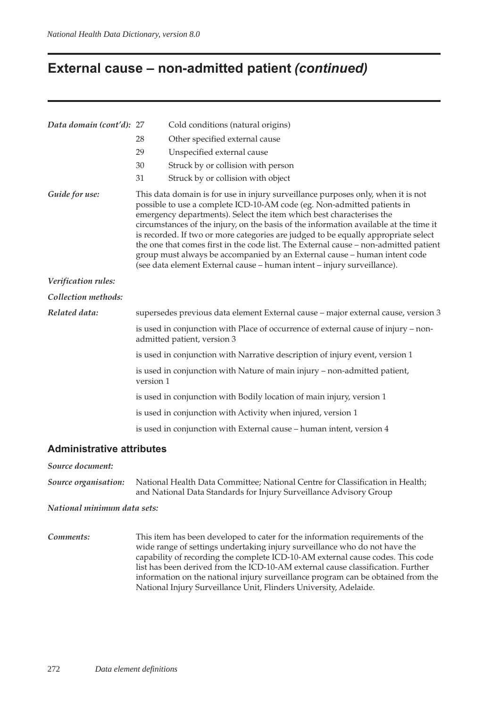## **External cause – non-admitted patient** *(continued)*

| Data domain (cont'd): 27 |                                                                                                                                                                                                                                                                                                                                                                                                                                                                                                                                                                                                                                                                    | Cold conditions (natural origins)                                                 |  |  |  |  |  |
|--------------------------|--------------------------------------------------------------------------------------------------------------------------------------------------------------------------------------------------------------------------------------------------------------------------------------------------------------------------------------------------------------------------------------------------------------------------------------------------------------------------------------------------------------------------------------------------------------------------------------------------------------------------------------------------------------------|-----------------------------------------------------------------------------------|--|--|--|--|--|
|                          | 28                                                                                                                                                                                                                                                                                                                                                                                                                                                                                                                                                                                                                                                                 | Other specified external cause                                                    |  |  |  |  |  |
|                          | 29                                                                                                                                                                                                                                                                                                                                                                                                                                                                                                                                                                                                                                                                 | Unspecified external cause                                                        |  |  |  |  |  |
|                          | 30                                                                                                                                                                                                                                                                                                                                                                                                                                                                                                                                                                                                                                                                 | Struck by or collision with person                                                |  |  |  |  |  |
|                          | 31                                                                                                                                                                                                                                                                                                                                                                                                                                                                                                                                                                                                                                                                 | Struck by or collision with object                                                |  |  |  |  |  |
| Guide for use:           | This data domain is for use in injury surveillance purposes only, when it is not<br>possible to use a complete ICD-10-AM code (eg. Non-admitted patients in<br>emergency departments). Select the item which best characterises the<br>circumstances of the injury, on the basis of the information available at the time it<br>is recorded. If two or more categories are judged to be equally appropriate select<br>the one that comes first in the code list. The External cause - non-admitted patient<br>group must always be accompanied by an External cause - human intent code<br>(see data element External cause - human intent - injury surveillance). |                                                                                   |  |  |  |  |  |
| Verification rules:      |                                                                                                                                                                                                                                                                                                                                                                                                                                                                                                                                                                                                                                                                    |                                                                                   |  |  |  |  |  |
| Collection methods:      |                                                                                                                                                                                                                                                                                                                                                                                                                                                                                                                                                                                                                                                                    |                                                                                   |  |  |  |  |  |
| Related data:            |                                                                                                                                                                                                                                                                                                                                                                                                                                                                                                                                                                                                                                                                    | supersedes previous data element External cause - major external cause, version 3 |  |  |  |  |  |
|                          | is used in conjunction with Place of occurrence of external cause of injury - non-<br>admitted patient, version 3                                                                                                                                                                                                                                                                                                                                                                                                                                                                                                                                                  |                                                                                   |  |  |  |  |  |
|                          | is used in conjunction with Narrative description of injury event, version 1                                                                                                                                                                                                                                                                                                                                                                                                                                                                                                                                                                                       |                                                                                   |  |  |  |  |  |
|                          | is used in conjunction with Nature of main injury - non-admitted patient,<br>version 1                                                                                                                                                                                                                                                                                                                                                                                                                                                                                                                                                                             |                                                                                   |  |  |  |  |  |
|                          | is used in conjunction with Bodily location of main injury, version 1                                                                                                                                                                                                                                                                                                                                                                                                                                                                                                                                                                                              |                                                                                   |  |  |  |  |  |
|                          |                                                                                                                                                                                                                                                                                                                                                                                                                                                                                                                                                                                                                                                                    | is used in conjunction with Activity when injured, version 1                      |  |  |  |  |  |
|                          | is used in conjunction with External cause - human intent, version 4                                                                                                                                                                                                                                                                                                                                                                                                                                                                                                                                                                                               |                                                                                   |  |  |  |  |  |

#### **Administrative attributes**

#### *Source document:*

*Source organisation:* National Health Data Committee; National Centre for Classification in Health; and National Data Standards for Injury Surveillance Advisory Group

#### *National minimum data sets:*

*Comments:* This item has been developed to cater for the information requirements of the wide range of settings undertaking injury surveillance who do not have the capability of recording the complete ICD-10-AM external cause codes. This code list has been derived from the ICD-10-AM external cause classification. Further information on the national injury surveillance program can be obtained from the National Injury Surveillance Unit, Flinders University, Adelaide.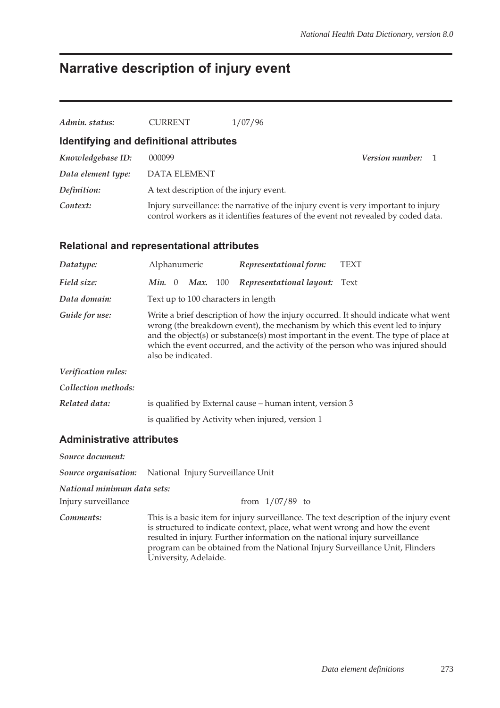# **Narrative description of injury event**

| Admin. status:                          | <b>CURRENT</b>                          | 1/07/96                                                                                                                                                                  |                          |  |
|-----------------------------------------|-----------------------------------------|--------------------------------------------------------------------------------------------------------------------------------------------------------------------------|--------------------------|--|
| Identifying and definitional attributes |                                         |                                                                                                                                                                          |                          |  |
| Knowledgebase ID:                       | 000099                                  |                                                                                                                                                                          | <b>Version number:</b> 1 |  |
| Data element type:                      | <b>DATA ELEMENT</b>                     |                                                                                                                                                                          |                          |  |
| Definition:                             | A text description of the injury event. |                                                                                                                                                                          |                          |  |
| Context:                                |                                         | Injury surveillance: the narrative of the injury event is very important to injury<br>control workers as it identifies features of the event not revealed by coded data. |                          |  |

### **Relational and representational attributes**

| Alphanumeric                                                                                                                                                                                                                                                                                                                                                       | Representational form:   | TEXT                                                                                                                                                |  |  |  |
|--------------------------------------------------------------------------------------------------------------------------------------------------------------------------------------------------------------------------------------------------------------------------------------------------------------------------------------------------------------------|--------------------------|-----------------------------------------------------------------------------------------------------------------------------------------------------|--|--|--|
| 100<br>Min. 0<br>Max.                                                                                                                                                                                                                                                                                                                                              | Representational layout: | Text                                                                                                                                                |  |  |  |
|                                                                                                                                                                                                                                                                                                                                                                    |                          |                                                                                                                                                     |  |  |  |
| Write a brief description of how the injury occurred. It should indicate what went<br>wrong (the breakdown event), the mechanism by which this event led to injury<br>and the object(s) or substance(s) most important in the event. The type of place at<br>which the event occurred, and the activity of the person who was injured should<br>also be indicated. |                          |                                                                                                                                                     |  |  |  |
|                                                                                                                                                                                                                                                                                                                                                                    |                          |                                                                                                                                                     |  |  |  |
|                                                                                                                                                                                                                                                                                                                                                                    |                          |                                                                                                                                                     |  |  |  |
|                                                                                                                                                                                                                                                                                                                                                                    |                          |                                                                                                                                                     |  |  |  |
|                                                                                                                                                                                                                                                                                                                                                                    |                          |                                                                                                                                                     |  |  |  |
|                                                                                                                                                                                                                                                                                                                                                                    |                          | Text up to 100 characters in length<br>is qualified by External cause - human intent, version 3<br>is qualified by Activity when injured, version 1 |  |  |  |

### **Administrative attributes**

| Source document:            |                                                                                                                                                                                                                                                                                                                                                               |
|-----------------------------|---------------------------------------------------------------------------------------------------------------------------------------------------------------------------------------------------------------------------------------------------------------------------------------------------------------------------------------------------------------|
|                             | <b>Source organisation:</b> National Injury Surveillance Unit                                                                                                                                                                                                                                                                                                 |
| National minimum data sets: |                                                                                                                                                                                                                                                                                                                                                               |
| Injury surveillance         | from $1/07/89$ to                                                                                                                                                                                                                                                                                                                                             |
| Comments:                   | This is a basic item for injury surveillance. The text description of the injury event<br>is structured to indicate context, place, what went wrong and how the event<br>resulted in injury. Further information on the national injury surveillance<br>program can be obtained from the National Injury Surveillance Unit, Flinders<br>University, Adelaide. |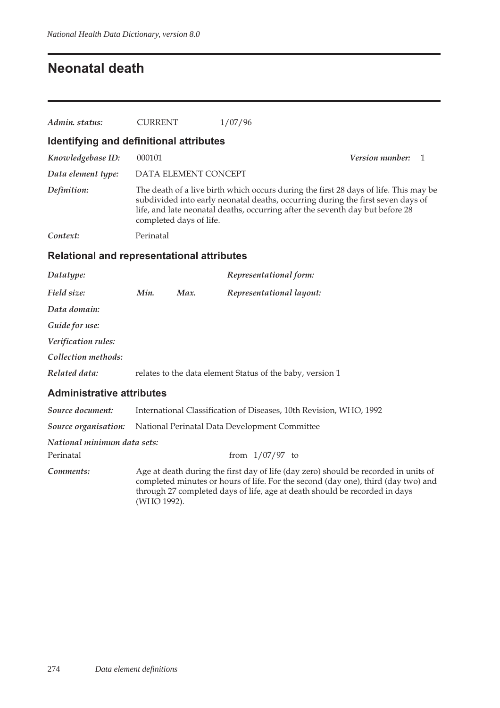## **Neonatal death**

| Admin. status:                                    | <b>CURRENT</b>          | 1/07/96                                                                                                                                                                                                                                                  |                        |  |  |  |  |
|---------------------------------------------------|-------------------------|----------------------------------------------------------------------------------------------------------------------------------------------------------------------------------------------------------------------------------------------------------|------------------------|--|--|--|--|
| Identifying and definitional attributes           |                         |                                                                                                                                                                                                                                                          |                        |  |  |  |  |
| Knowledgebase ID:                                 | 000101                  |                                                                                                                                                                                                                                                          | <i>Version number:</i> |  |  |  |  |
| Data element type:                                | DATA ELEMENT CONCEPT    |                                                                                                                                                                                                                                                          |                        |  |  |  |  |
| Definition:                                       | completed days of life. | The death of a live birth which occurs during the first 28 days of life. This may be<br>subdivided into early neonatal deaths, occurring during the first seven days of<br>life, and late neonatal deaths, occurring after the seventh day but before 28 |                        |  |  |  |  |
| Context:                                          | Perinatal               |                                                                                                                                                                                                                                                          |                        |  |  |  |  |
| <b>Relational and representational attributes</b> |                         |                                                                                                                                                                                                                                                          |                        |  |  |  |  |

| Datatype:           |      |      | Representational form:                                    |
|---------------------|------|------|-----------------------------------------------------------|
| Field size:         | Min. | Max. | Representational layout:                                  |
| Data domain:        |      |      |                                                           |
| Guide for use:      |      |      |                                                           |
| Verification rules: |      |      |                                                           |
| Collection methods: |      |      |                                                           |
| Related data:       |      |      | relates to the data element Status of the baby, version 1 |
|                     |      |      |                                                           |

### **Administrative attributes**

| Source document:            | International Classification of Diseases, 10th Revision, WHO, 1992                                                                                                                                                                                                    |  |  |  |  |  |  |  |
|-----------------------------|-----------------------------------------------------------------------------------------------------------------------------------------------------------------------------------------------------------------------------------------------------------------------|--|--|--|--|--|--|--|
|                             | <b>Source organisation:</b> National Perinatal Data Development Committee                                                                                                                                                                                             |  |  |  |  |  |  |  |
| National minimum data sets: |                                                                                                                                                                                                                                                                       |  |  |  |  |  |  |  |
| Perinatal                   | from $1/07/97$ to                                                                                                                                                                                                                                                     |  |  |  |  |  |  |  |
| Comments:                   | Age at death during the first day of life (day zero) should be recorded in units of<br>completed minutes or hours of life. For the second (day one), third (day two) and<br>through 27 completed days of life, age at death should be recorded in days<br>(WHO 1992). |  |  |  |  |  |  |  |